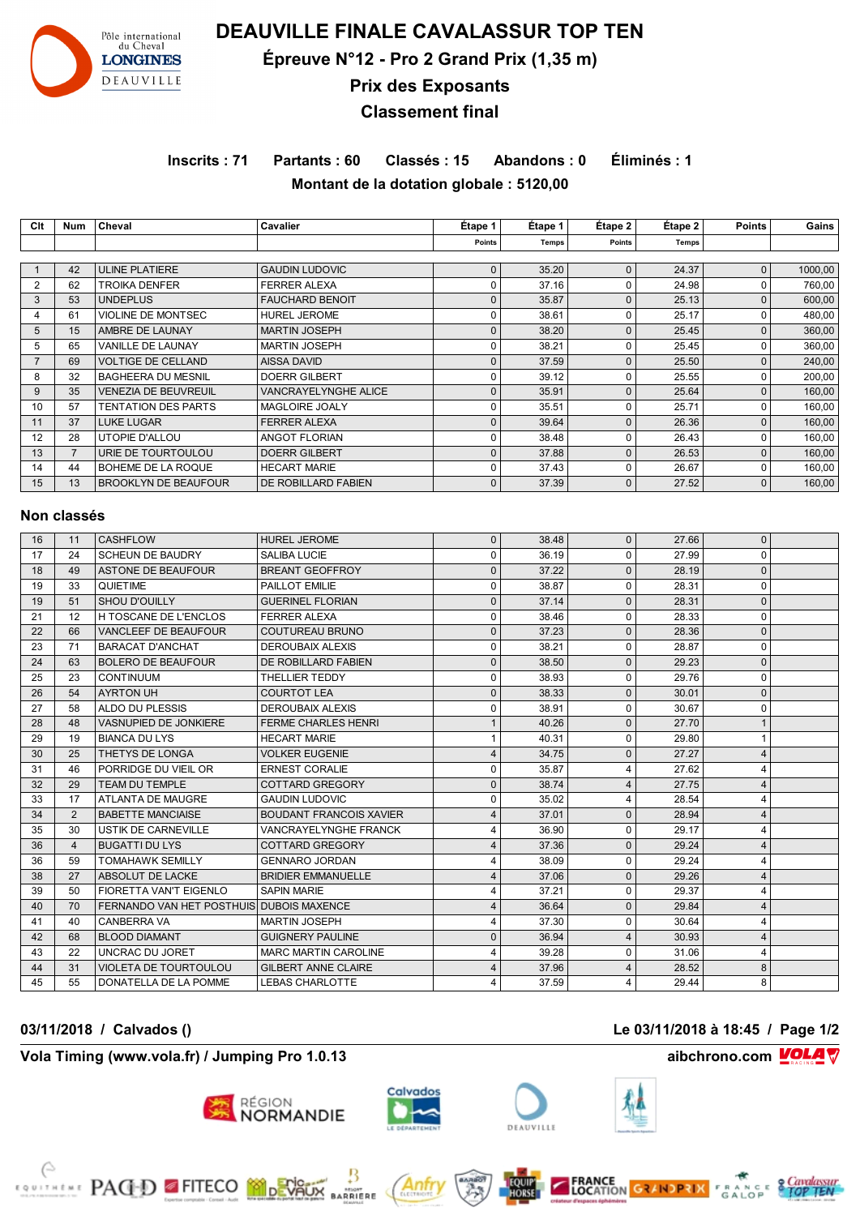

**DEAUVILLE FINALE CAVALASSUR TOP TEN**

**Épreuve N°12 - Pro 2 Grand Prix (1,35 m)**

**Prix des Exposants**

**Classement final**

**Inscrits : 71 Partants : 60 Classés : 15 Abandons : 0 Éliminés : 1 Montant de la dotation globale : 5120,00**

**Clt Num Cheval Cavalier Étape 1 Étape 1 Étape 2 Étape 2 Points Gains**

|                         |                |                                          |                                | Points                  | <b>Temps</b> | <b>Points</b>  | <b>Temps</b> |                |         |
|-------------------------|----------------|------------------------------------------|--------------------------------|-------------------------|--------------|----------------|--------------|----------------|---------|
| $\mathbf{1}$            | 42             | <b>ULINE PLATIERE</b>                    | <b>GAUDIN LUDOVIC</b>          | $\bf 0$                 | 35.20        | $\mathbf{0}$   | 24.37        | $\mathbf{0}$   | 1000,00 |
| $\overline{2}$          | 62             | <b>TROIKA DENFER</b>                     | <b>FERRER ALEXA</b>            | $\mathbf 0$             | 37.16        | $\mathbf 0$    | 24.98        | $\mathbf 0$    | 760,00  |
| 3                       | 53             | <b>UNDEPLUS</b>                          | <b>FAUCHARD BENOIT</b>         | $\mathbf 0$             | 35.87        | $\pmb{0}$      | 25.13        | $\pmb{0}$      | 600,00  |
| $\overline{\mathbf{4}}$ | 61             | VIOLINE DE MONTSEC                       | HUREL JEROME                   | $\mathbf 0$             | 38.61        | $\Omega$       | 25.17        | $\pmb{0}$      | 480,00  |
| 5                       | 15             | AMBRE DE LAUNAY                          | <b>MARTIN JOSEPH</b>           | $\mathbf 0$             | 38.20        | $\mathbf{0}$   | 25.45        | $\pmb{0}$      | 360,00  |
| 5                       | 65             | VANILLE DE LAUNAY                        | <b>MARTIN JOSEPH</b>           | $\mathbf 0$             | 38.21        | $\mathbf 0$    | 25.45        | $\mathbf 0$    | 360,00  |
| $\overline{7}$          | 69             | <b>VOLTIGE DE CELLAND</b>                | <b>AISSA DAVID</b>             | $\mathbf 0$             | 37.59        | $\mathbf 0$    | 25.50        | $\pmb{0}$      | 240,00  |
| 8                       | 32             | <b>BAGHEERA DU MESNIL</b>                | <b>DOERR GILBERT</b>           | $\mathbf 0$             | 39.12        | $\mathbf 0$    | 25.55        | $\mathbf 0$    | 200,00  |
| 9                       | 35             | <b>VENEZIA DE BEUVREUIL</b>              | VANCRAYELYNGHE ALICE           | $\mathbf 0$             | 35.91        | $\pmb{0}$      | 25.64        | $\pmb{0}$      | 160,00  |
| 10                      | 57             | <b>TENTATION DES PARTS</b>               | MAGLOIRE JOALY                 | $\mathbf 0$             | 35.51        | $\mathbf 0$    | 25.71        | $\mathbf 0$    | 160,00  |
| 11                      | 37             | <b>LUKE LUGAR</b>                        | <b>FERRER ALEXA</b>            | $\mathbf 0$             | 39.64        | $\mathbf 0$    | 26.36        | $\pmb{0}$      | 160,00  |
| 12                      | 28             | UTOPIE D'ALLOU                           | <b>ANGOT FLORIAN</b>           | $\mathbf 0$             | 38.48        | $\mathbf 0$    | 26.43        | $\mathbf 0$    | 160,00  |
| 13                      | $\overline{7}$ | URIE DE TOURTOULOU                       | <b>DOERR GILBERT</b>           | $\mathbf 0$             | 37.88        | $\pmb{0}$      | 26.53        | $\pmb{0}$      | 160,00  |
| 14                      | 44             | BOHEME DE LA ROQUE                       | <b>HECART MARIE</b>            | $\mathbf 0$             | 37.43        | $\mathbf 0$    | 26.67        | $\Omega$       | 160,00  |
| 15                      | 13             | <b>BROOKLYN DE BEAUFOUR</b>              | DE ROBILLARD FABIEN            | $\mathbf{0}$            | 37.39        | $\mathbf{0}$   | 27.52        | $\mathbf{0}$   | 160,00  |
|                         |                |                                          |                                |                         |              |                |              |                |         |
|                         | Non classés    |                                          |                                |                         |              |                |              |                |         |
| 16                      | 11             | <b>CASHFLOW</b>                          | <b>HUREL JEROME</b>            | $\pmb{0}$               | 38.48        | $\mathsf 0$    | 27.66        | $\pmb{0}$      |         |
| 17                      | 24             | <b>SCHEUN DE BAUDRY</b>                  | <b>SALIBA LUCIE</b>            | $\mathbf 0$             | 36.19        | $\mathbf 0$    | 27.99        | $\mathbf 0$    |         |
| 18                      | 49             | <b>ASTONE DE BEAUFOUR</b>                | <b>BREANT GEOFFROY</b>         | $\pmb{0}$               | 37.22        | $\mathsf 0$    | 28.19        | $\pmb{0}$      |         |
| 19                      | 33             | QUIETIME                                 | <b>PAILLOT EMILIE</b>          | $\mathbf 0$             | 38.87        | $\mathbf 0$    | 28.31        | $\mathbf 0$    |         |
| 19                      | 51             | <b>SHOU D'OUILLY</b>                     | <b>GUERINEL FLORIAN</b>        | $\mathbf{0}$            | 37.14        | $\mathbf 0$    | 28.31        | $\mathbf 0$    |         |
| 21                      | 12             | H TOSCANE DE L'ENCLOS                    | <b>FERRER ALEXA</b>            | $\mathbf 0$             | 38.46        | $\mathbf 0$    | 28.33        | $\mathbf 0$    |         |
| 22                      | 66             | <b>VANCLEEF DE BEAUFOUR</b>              | <b>COUTUREAU BRUNO</b>         | $\mathbf 0$             | 37.23        | $\mathbf{0}$   | 28.36        | $\pmb{0}$      |         |
| 23                      | 71             | <b>BARACAT D'ANCHAT</b>                  | <b>DEROUBAIX ALEXIS</b>        | $\mathbf 0$             | 38.21        | $\mathbf 0$    | 28.87        | $\mathbf 0$    |         |
| 24                      | 63             | <b>BOLERO DE BEAUFOUR</b>                | DE ROBILLARD FABIEN            | $\mathbf 0$             | 38.50        | $\pmb{0}$      | 29.23        | $\pmb{0}$      |         |
| 25                      | 23             | <b>CONTINUUM</b>                         | <b>THELLIER TEDDY</b>          | $\mathbf 0$             | 38.93        | $\mathbf 0$    | 29.76        | $\mathbf 0$    |         |
| 26                      | 54             | <b>AYRTON UH</b>                         | <b>COURTOT LEA</b>             | $\mathbf 0$             | 38.33        | $\mathbf 0$    | 30.01        | $\pmb{0}$      |         |
| 27                      | 58             | ALDO DU PLESSIS                          | <b>DEROUBAIX ALEXIS</b>        | $\mathbf 0$             | 38.91        | $\Omega$       | 30.67        | $\Omega$       |         |
| 28                      | 48             | <b>VASNUPIED DE JONKIERE</b>             | <b>FERME CHARLES HENRI</b>     | $\overline{1}$          | 40.26        | $\mathbf{0}$   | 27.70        | $\mathbf{1}$   |         |
| 29                      | 19             | <b>BIANCA DU LYS</b>                     | <b>HECART MARIE</b>            | $\mathbf{1}$            | 40.31        | $\mathbf 0$    | 29.80        | $\mathbf{1}$   |         |
| 30                      | 25             | THETYS DE LONGA                          | <b>VOLKER EUGENIE</b>          | $\overline{4}$          | 34.75        | $\mathbf{0}$   | 27.27        | $\overline{4}$ |         |
| 31                      | 46             | PORRIDGE DU VIEIL OR                     | <b>ERNEST CORALIE</b>          | $\mathbf 0$             | 35.87        | $\overline{4}$ | 27.62        | $\overline{4}$ |         |
| 32                      | 29             | <b>TEAM DU TEMPLE</b>                    | <b>COTTARD GREGORY</b>         | $\mathbf 0$             | 38.74        | $\overline{4}$ | 27.75        | $\overline{4}$ |         |
| 33                      | 17             | <b>ATLANTA DE MAUGRE</b>                 | <b>GAUDIN LUDOVIC</b>          | $\mathbf 0$             | 35.02        | $\overline{4}$ | 28.54        | $\overline{4}$ |         |
| 34                      | $\overline{2}$ | <b>BABETTE MANCIAISE</b>                 | <b>BOUDANT FRANCOIS XAVIER</b> | $\overline{4}$          | 37.01        | $\mathbf{0}$   | 28.94        | $\overline{4}$ |         |
| 35                      | 30             | USTIK DE CARNEVILLE                      | VANCRAYELYNGHE FRANCK          | 4                       | 36.90        | $\mathbf 0$    | 29.17        | $\overline{4}$ |         |
| 36                      | $\overline{4}$ | <b>BUGATTI DU LYS</b>                    | <b>COTTARD GREGORY</b>         | $\overline{4}$          | 37.36        | $\Omega$       | 29.24        | $\overline{4}$ |         |
| 36                      | 59             | <b>TOMAHAWK SEMILLY</b>                  | <b>GENNARO JORDAN</b>          | 4                       | 38.09        | $\mathsf 0$    | 29.24        | $\overline{4}$ |         |
| 38                      | 27             | ABSOLUT DE LACKE                         | <b>BRIDIER EMMANUELLE</b>      | $\overline{\mathbf{4}}$ | 37.06        | $\mathbf{0}$   | 29.26        | $\overline{4}$ |         |
| 39                      | 50             | FIORETTA VAN'T EIGENLO                   | <b>SAPIN MARIE</b>             | $\overline{\mathbf{4}}$ | 37.21        | $\mathbf 0$    | 29.37        | $\overline{4}$ |         |
| 40                      | 70             | FERNANDO VAN HET POSTHUIS DUBOIS MAXENCE |                                | $\overline{4}$          | 36.64        | $\mathbf{0}$   | 29.84        | $\overline{4}$ |         |
| 41                      | 40             | <b>CANBERRA VA</b>                       | <b>MARTIN JOSEPH</b>           | $\overline{\mathbf{4}}$ | 37.30        | $\mathbf 0$    | 30.64        | $\overline{4}$ |         |
| 42                      | 68             | <b>BLOOD DIAMANT</b>                     | <b>GUIGNERY PAULINE</b>        | $\mathbf 0$             | 36.94        | $\overline{4}$ | 30.93        | $\overline{4}$ |         |
| 43                      | 22             | UNCRAC DU JORET                          | <b>MARC MARTIN CAROLINE</b>    | 4                       | 39.28        | 0              | 31.06        | $\overline{4}$ |         |
| 44                      | 31             | <b>VIOLETA DE TOURTOULOU</b>             | <b>GILBERT ANNE CLAIRE</b>     | $\overline{4}$          | 37.96        | $\overline{4}$ | 28.52        | $\bf 8$        |         |
| 45                      | 55             | DONATELLA DE LA POMME                    | <b>LEBAS CHARLOTTE</b>         | $\overline{\mathbf{4}}$ | 37.59        | $\overline{4}$ | 29.44        | 8              |         |

### **Vola Timing (www.vola.fr) / Jumping Pro 1.0.13 aibchrono.com VOLA**

EDITION PACED FITECO MONTAGE





MSONT<br>RRIERE





**FRANCE**<br>LOCATION **GRANDPRIX** 

**03/11/2018 / Calvados () Le 03/11/2018 à 18:45 / Page 1/2**